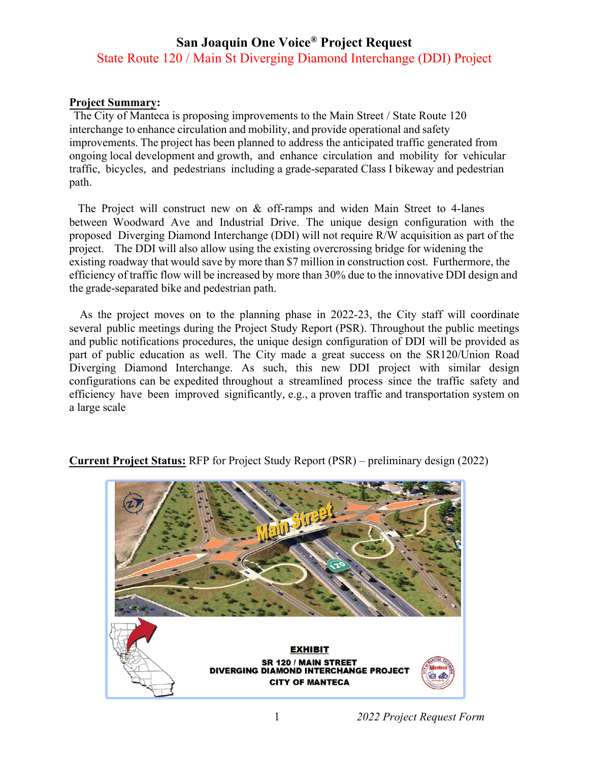## **San Joaquin One Voice® Project Request** State Route 120 / Main St Diverging Diamond Interchange (DDI) Project

## **Project Summary:**

The City of Manteca is proposing improvements to the Main Street / State Route 120 interchange to enhance circulation and mobility, and provide operational and safety improvements. The project has been planned to address the anticipated traffic generated from ongoing local development and growth, and enhance circulation and mobility for vehicular traffic, bicycles, and pedestrians including a grade-separated Class I bikeway and pedestrian path.

The Project will construct new on & off-ramps and widen Main Street to 4-lanes between Woodward Ave and Industrial Drive. The unique design configuration with the proposed Diverging Diamond Interchange (DDI) will not require R/W acquisition as part of the project. The DDI will also allow using the existing overcrossing bridge for widening the existing roadway that would save by more than \$7 million in construction cost. Furthermore, the efficiency of traffic flow will be increased by more than 30% due to the innovative DDI design and the grade-separated bike and pedestrian path.

As the project moves on to the planning phase in 2022-23, the City staff will coordinate several public meetings during the Project Study Report (PSR). Throughout the public meetings and public notifications procedures, the unique design configuration of DDI will be provided as part of public education as well. The City made a great success on the SR120/Union Road Diverging Diamond Interchange. As such, this new DDI project with similar design configurations can be expedited throughout a streamlined process since the traffic safety and efficiency have been improved significantly, e.g., a proven traffic and transportation system on a large scale



**Current Project Status:** RFP for Project Study Report (PSR) – preliminary design (2022)